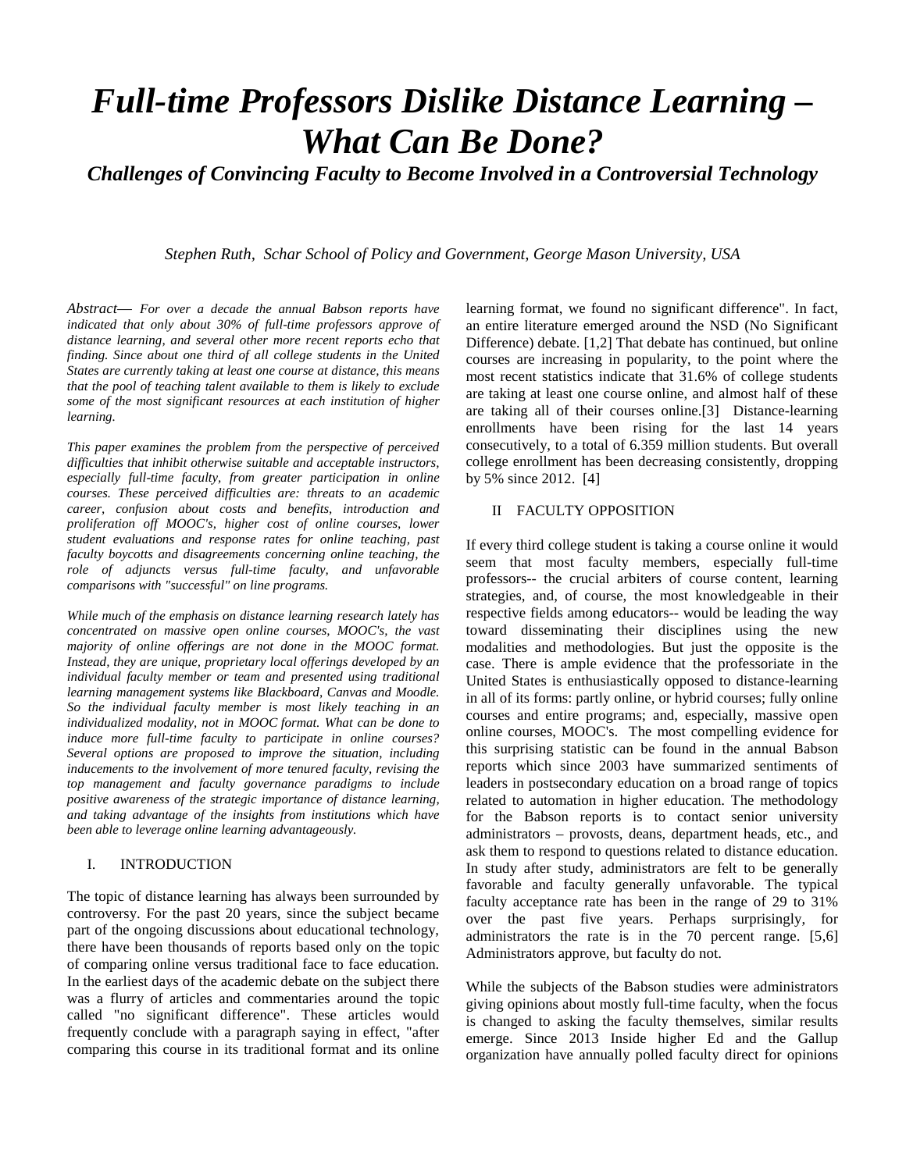# *Full-time Professors Dislike Distance Learning – What Can Be Done?*

*Challenges of Convincing Faculty to Become Involved in a Controversial Technology*

*Stephen Ruth, Schar School of Policy and Government, George Mason University, USA*

*Abstract*— *For over a decade the annual Babson reports have indicated that only about 30% of full-time professors approve of distance learning, and several other more recent reports echo that finding. Since about one third of all college students in the United States are currently taking at least one course at distance, this means that the pool of teaching talent available to them is likely to exclude some of the most significant resources at each institution of higher learning.* 

*This paper examines the problem from the perspective of perceived difficulties that inhibit otherwise suitable and acceptable instructors, especially full-time faculty, from greater participation in online courses. These perceived difficulties are: threats to an academic career, confusion about costs and benefits, introduction and proliferation off MOOC's, higher cost of online courses, lower student evaluations and response rates for online teaching, past faculty boycotts and disagreements concerning online teaching, the role of adjuncts versus full-time faculty, and unfavorable comparisons with "successful" on line programs.*

*While much of the emphasis on distance learning research lately has concentrated on massive open online courses, MOOC's, the vast majority of online offerings are not done in the MOOC format. Instead, they are unique, proprietary local offerings developed by an individual faculty member or team and presented using traditional learning management systems like Blackboard, Canvas and Moodle. So the individual faculty member is most likely teaching in an individualized modality, not in MOOC format. What can be done to induce more full-time faculty to participate in online courses? Several options are proposed to improve the situation, including inducements to the involvement of more tenured faculty, revising the top management and faculty governance paradigms to include positive awareness of the strategic importance of distance learning, and taking advantage of the insights from institutions which have been able to leverage online learning advantageously.*

## I. INTRODUCTION

The topic of distance learning has always been surrounded by controversy. For the past 20 years, since the subject became part of the ongoing discussions about educational technology, there have been thousands of reports based only on the topic of comparing online versus traditional face to face education. In the earliest days of the academic debate on the subject there was a flurry of articles and commentaries around the topic called "no significant difference". These articles would frequently conclude with a paragraph saying in effect, "after comparing this course in its traditional format and its online learning format, we found no significant difference". In fact, an entire literature emerged around the NSD (No Significant Difference) debate. [1,2] That debate has continued, but online courses are increasing in popularity, to the point where the most recent statistics indicate that 31.6% of college students are taking at least one course online, and almost half of these are taking all of their courses online.[3] Distance-learning enrollments have been rising for the last 14 years consecutively, to a total of 6.359 million students. But overall college enrollment has been decreasing consistently, dropping by 5% since 2012. [4]

#### II FACULTY OPPOSITION

If every third college student is taking a course online it would seem that most faculty members, especially full-time professors-- the crucial arbiters of course content, learning strategies, and, of course, the most knowledgeable in their respective fields among educators-- would be leading the way toward disseminating their disciplines using the new modalities and methodologies. But just the opposite is the case. There is ample evidence that the professoriate in the United States is enthusiastically opposed to distance-learning in all of its forms: partly online, or hybrid courses; fully online courses and entire programs; and, especially, massive open online courses, MOOC's. The most compelling evidence for this surprising statistic can be found in the annual Babson reports which since 2003 have summarized sentiments of leaders in postsecondary education on a broad range of topics related to automation in higher education. The methodology for the Babson reports is to contact senior university administrators – provosts, deans, department heads, etc., and ask them to respond to questions related to distance education. In study after study, administrators are felt to be generally favorable and faculty generally unfavorable. The typical faculty acceptance rate has been in the range of 29 to 31% over the past five years. Perhaps surprisingly, for administrators the rate is in the 70 percent range. [5,6] Administrators approve, but faculty do not.

While the subjects of the Babson studies were administrators giving opinions about mostly full-time faculty, when the focus is changed to asking the faculty themselves, similar results emerge. Since 2013 Inside higher Ed and the Gallup organization have annually polled faculty direct for opinions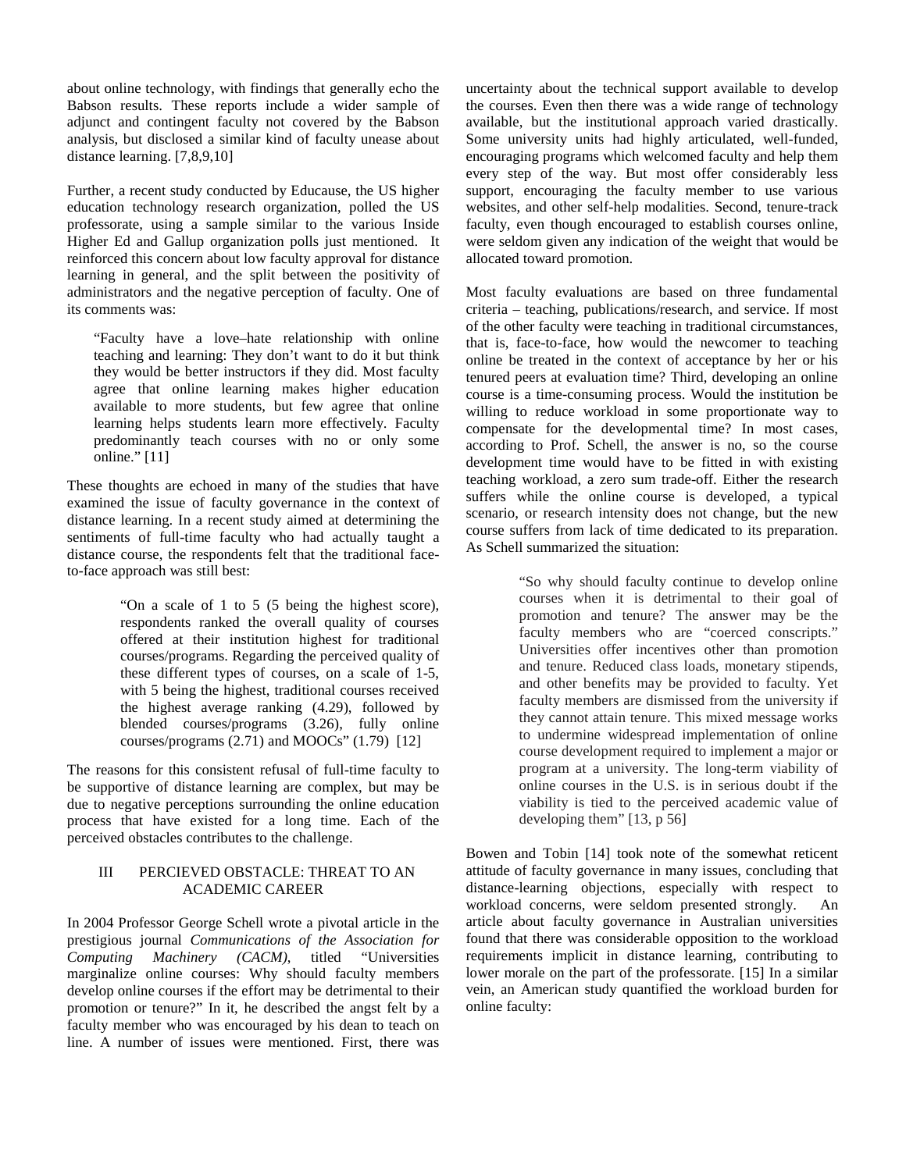about online technology, with findings that generally echo the Babson results. These reports include a wider sample of adjunct and contingent faculty not covered by the Babson analysis, but disclosed a similar kind of faculty unease about distance learning. [7,8,9,10]

Further, a recent study conducted by Educause, the US higher education technology research organization, polled the US professorate, using a sample similar to the various Inside Higher Ed and Gallup organization polls just mentioned. It reinforced this concern about low faculty approval for distance learning in general, and the split between the positivity of administrators and the negative perception of faculty. One of its comments was:

"Faculty have a love–hate relationship with online teaching and learning: They don't want to do it but think they would be better instructors if they did. Most faculty agree that online learning makes higher education available to more students, but few agree that online learning helps students learn more effectively. Faculty predominantly teach courses with no or only some online." [11]

These thoughts are echoed in many of the studies that have examined the issue of faculty governance in the context of distance learning. In a recent study aimed at determining the sentiments of full-time faculty who had actually taught a distance course, the respondents felt that the traditional faceto-face approach was still best:

> "On a scale of 1 to 5 (5 being the highest score), respondents ranked the overall quality of courses offered at their institution highest for traditional courses/programs. Regarding the perceived quality of these different types of courses, on a scale of 1-5, with 5 being the highest, traditional courses received the highest average ranking (4.29), followed by blended courses/programs (3.26), fully online courses/programs  $(2.71)$  and MOOCs"  $(1.79)$  [12]

The reasons for this consistent refusal of full-time faculty to be supportive of distance learning are complex, but may be due to negative perceptions surrounding the online education process that have existed for a long time. Each of the perceived obstacles contributes to the challenge.

# III PERCIEVED OBSTACLE: THREAT TO AN ACADEMIC CAREER

In 2004 Professor George Schell wrote a pivotal article in the prestigious journal *Communications of the Association for Computing Machinery (CACM)*, titled "Universities marginalize online courses: Why should faculty members develop online courses if the effort may be detrimental to their promotion or tenure?" In it, he described the angst felt by a faculty member who was encouraged by his dean to teach on line. A number of issues were mentioned. First, there was

uncertainty about the technical support available to develop the courses. Even then there was a wide range of technology available, but the institutional approach varied drastically. Some university units had highly articulated, well-funded, encouraging programs which welcomed faculty and help them every step of the way. But most offer considerably less support, encouraging the faculty member to use various websites, and other self-help modalities. Second, tenure-track faculty, even though encouraged to establish courses online, were seldom given any indication of the weight that would be allocated toward promotion.

Most faculty evaluations are based on three fundamental criteria – teaching, publications/research, and service. If most of the other faculty were teaching in traditional circumstances, that is, face-to-face, how would the newcomer to teaching online be treated in the context of acceptance by her or his tenured peers at evaluation time? Third, developing an online course is a time-consuming process. Would the institution be willing to reduce workload in some proportionate way to compensate for the developmental time? In most cases, according to Prof. Schell, the answer is no, so the course development time would have to be fitted in with existing teaching workload, a zero sum trade-off. Either the research suffers while the online course is developed, a typical scenario, or research intensity does not change, but the new course suffers from lack of time dedicated to its preparation. As Schell summarized the situation:

> "So why should faculty continue to develop online courses when it is detrimental to their goal of promotion and tenure? The answer may be the faculty members who are "coerced conscripts." Universities offer incentives other than promotion and tenure. Reduced class loads, monetary stipends, and other benefits may be provided to faculty. Yet faculty members are dismissed from the university if they cannot attain tenure. This mixed message works to undermine widespread implementation of online course development required to implement a major or program at a university. The long-term viability of online courses in the U.S. is in serious doubt if the viability is tied to the perceived academic value of developing them" [13, p 56]

Bowen and Tobin [14] took note of the somewhat reticent attitude of faculty governance in many issues, concluding that distance-learning objections, especially with respect to workload concerns, were seldom presented strongly. An article about faculty governance in Australian universities found that there was considerable opposition to the workload requirements implicit in distance learning, contributing to lower morale on the part of the professorate. [15] In a similar vein, an American study quantified the workload burden for online faculty: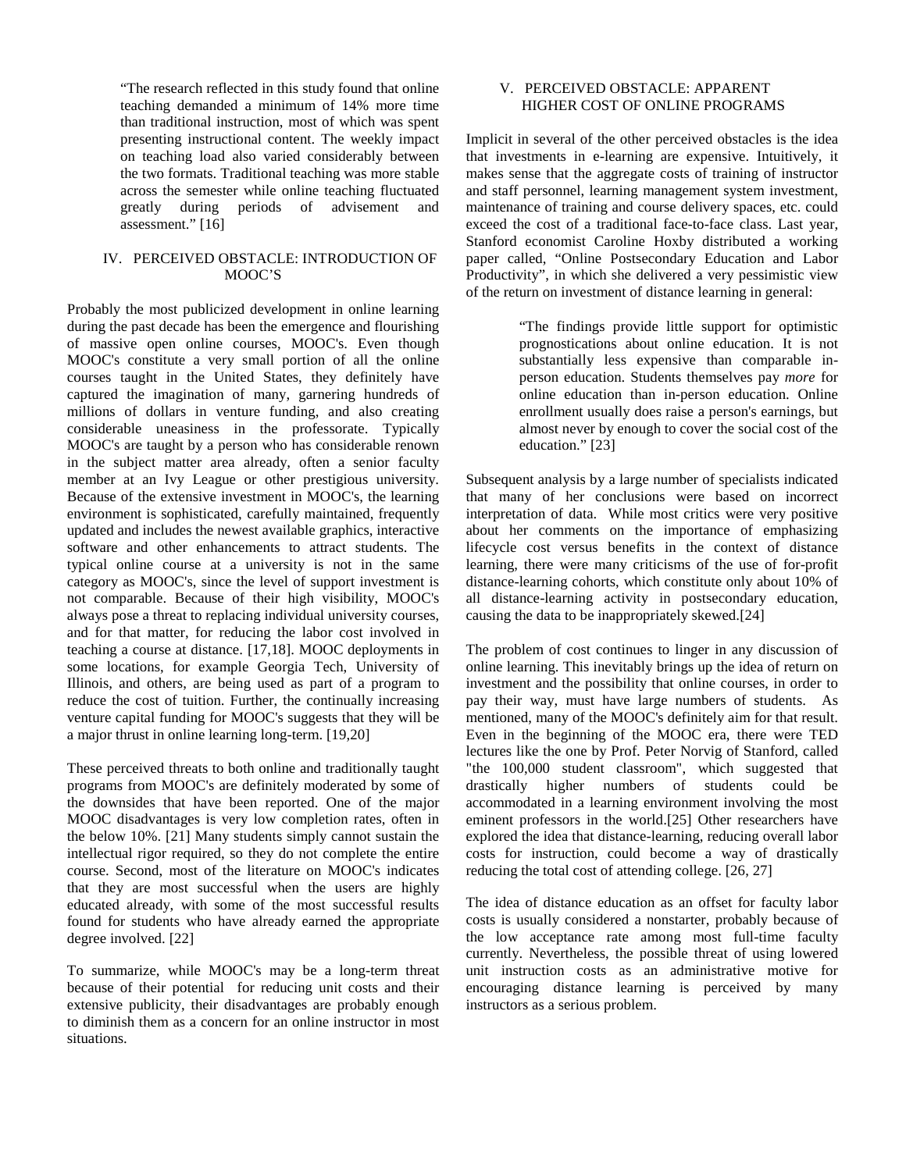"The research reflected in this study found that online teaching demanded a minimum of 14% more time than traditional instruction, most of which was spent presenting instructional content. The weekly impact on teaching load also varied considerably between the two formats. Traditional teaching was more stable across the semester while online teaching fluctuated greatly during periods of advisement and assessment." [16]

## IV. PERCEIVED OBSTACLE: INTRODUCTION OF MOOC'S

Probably the most publicized development in online learning during the past decade has been the emergence and flourishing of massive open online courses, MOOC's. Even though MOOC's constitute a very small portion of all the online courses taught in the United States, they definitely have captured the imagination of many, garnering hundreds of millions of dollars in venture funding, and also creating considerable uneasiness in the professorate. Typically MOOC's are taught by a person who has considerable renown in the subject matter area already, often a senior faculty member at an Ivy League or other prestigious university. Because of the extensive investment in MOOC's, the learning environment is sophisticated, carefully maintained, frequently updated and includes the newest available graphics, interactive software and other enhancements to attract students. The typical online course at a university is not in the same category as MOOC's, since the level of support investment is not comparable. Because of their high visibility, MOOC's always pose a threat to replacing individual university courses, and for that matter, for reducing the labor cost involved in teaching a course at distance. [17,18]. MOOC deployments in some locations, for example Georgia Tech, University of Illinois, and others, are being used as part of a program to reduce the cost of tuition. Further, the continually increasing venture capital funding for MOOC's suggests that they will be a major thrust in online learning long-term. [19,20]

These perceived threats to both online and traditionally taught programs from MOOC's are definitely moderated by some of the downsides that have been reported. One of the major MOOC disadvantages is very low completion rates, often in the below 10%. [21] Many students simply cannot sustain the intellectual rigor required, so they do not complete the entire course. Second, most of the literature on MOOC's indicates that they are most successful when the users are highly educated already, with some of the most successful results found for students who have already earned the appropriate degree involved. [22]

To summarize, while MOOC's may be a long-term threat because of their potential for reducing unit costs and their extensive publicity, their disadvantages are probably enough to diminish them as a concern for an online instructor in most situations.

# V. PERCEIVED OBSTACLE: APPARENT HIGHER COST OF ONLINE PROGRAMS

Implicit in several of the other perceived obstacles is the idea that investments in e-learning are expensive. Intuitively, it makes sense that the aggregate costs of training of instructor and staff personnel, learning management system investment, maintenance of training and course delivery spaces, etc. could exceed the cost of a traditional face-to-face class. Last year, Stanford economist Caroline Hoxby distributed a working paper called, "Online Postsecondary Education and Labor Productivity", in which she delivered a very pessimistic view of the return on investment of distance learning in general:

> "The findings provide little support for optimistic prognostications about online education. It is not substantially less expensive than comparable inperson education. Students themselves pay *more* for online education than in-person education. Online enrollment usually does raise a person's earnings, but almost never by enough to cover the social cost of the education." [23]

Subsequent analysis by a large number of specialists indicated that many of her conclusions were based on incorrect interpretation of data. While most critics were very positive about her comments on the importance of emphasizing lifecycle cost versus benefits in the context of distance learning, there were many criticisms of the use of for-profit distance-learning cohorts, which constitute only about 10% of all distance-learning activity in postsecondary education, causing the data to be inappropriately skewed.[24]

The problem of cost continues to linger in any discussion of online learning. This inevitably brings up the idea of return on investment and the possibility that online courses, in order to pay their way, must have large numbers of students. As mentioned, many of the MOOC's definitely aim for that result. Even in the beginning of the MOOC era, there were TED lectures like the one by Prof. Peter Norvig of Stanford, called "the 100,000 student classroom", which suggested that drastically higher numbers of students could be accommodated in a learning environment involving the most eminent professors in the world.[25] Other researchers have explored the idea that distance-learning, reducing overall labor costs for instruction, could become a way of drastically reducing the total cost of attending college. [26, 27]

The idea of distance education as an offset for faculty labor costs is usually considered a nonstarter, probably because of the low acceptance rate among most full-time faculty currently. Nevertheless, the possible threat of using lowered unit instruction costs as an administrative motive for encouraging distance learning is perceived by many instructors as a serious problem.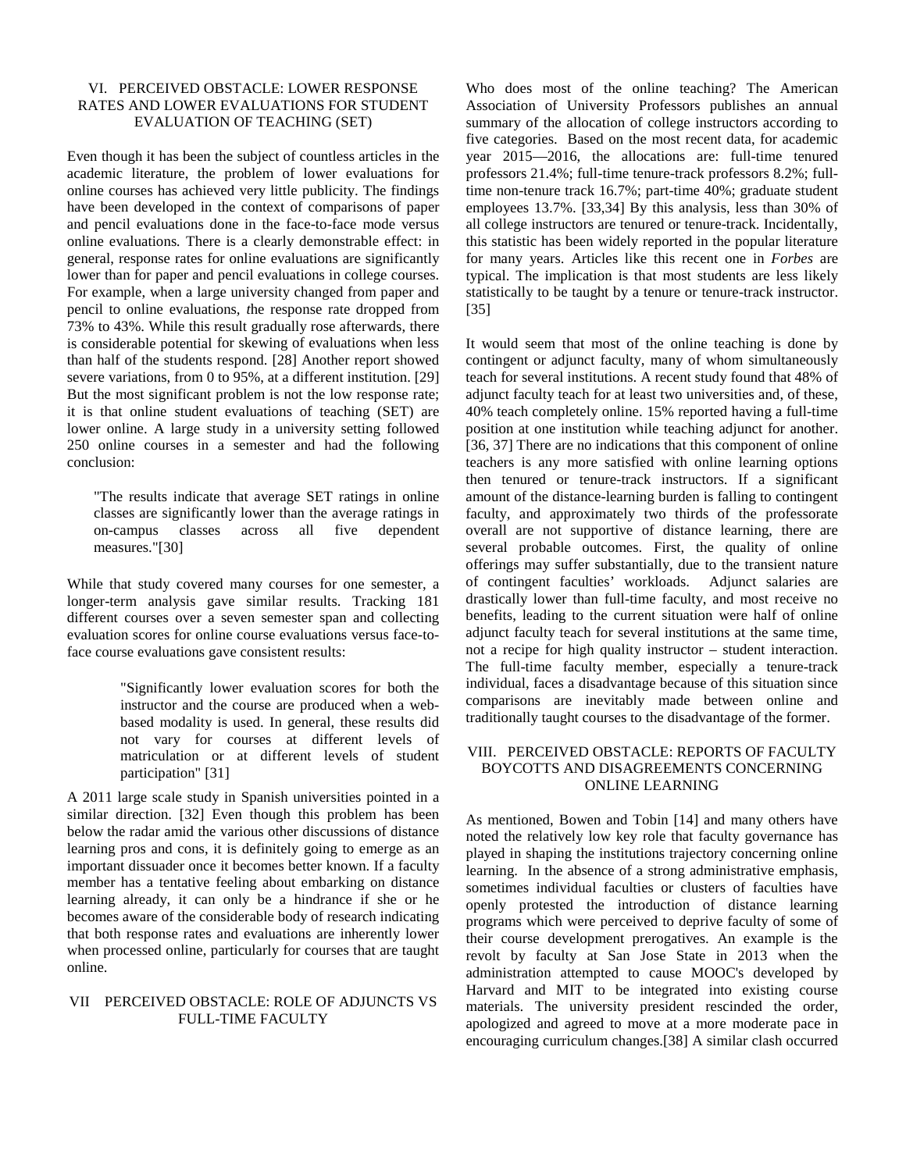# VI. PERCEIVED OBSTACLE: LOWER RESPONSE RATES AND LOWER EVALUATIONS FOR STUDENT EVALUATION OF TEACHING (SET)

Even though it has been the subject of countless articles in the academic literature, the problem of lower evaluations for online courses has achieved very little publicity. The findings have been developed in the context of comparisons of paper and pencil evaluations done in the face-to-face mode versus online evaluations*.* There is a clearly demonstrable effect: in general, response rates for online evaluations are significantly lower than for paper and pencil evaluations in college courses. For example, when a large university changed from paper and pencil to online evaluations*, t*he response rate dropped from 73% to 43%. While this result gradually rose afterwards, there is considerable potential for skewing of evaluations when less than half of the students respond. [28] Another report showed severe variations, from 0 to 95%, at a different institution. [29] But the most significant problem is not the low response rate; it is that online student evaluations of teaching (SET) are lower online. A large study in a university setting followed 250 online courses in a semester and had the following conclusion:

"The results indicate that average SET ratings in online classes are significantly lower than the average ratings in on-campus classes across all five dependent measures."[30]

While that study covered many courses for one semester, a longer-term analysis gave similar results. Tracking 181 different courses over a seven semester span and collecting evaluation scores for online course evaluations versus face-toface course evaluations gave consistent results:

> "Significantly lower evaluation scores for both the instructor and the course are produced when a webbased modality is used. In general, these results did not vary for courses at different levels of matriculation or at different levels of student participation" [31]

A 2011 large scale study in Spanish universities pointed in a similar direction. [32] Even though this problem has been below the radar amid the various other discussions of distance learning pros and cons, it is definitely going to emerge as an important dissuader once it becomes better known. If a faculty member has a tentative feeling about embarking on distance learning already, it can only be a hindrance if she or he becomes aware of the considerable body of research indicating that both response rates and evaluations are inherently lower when processed online, particularly for courses that are taught online.

## VII PERCEIVED OBSTACLE: ROLE OF ADJUNCTS VS FULL-TIME FACULTY

Who does most of the online teaching? The American Association of University Professors publishes an annual summary of the allocation of college instructors according to five categories. Based on the most recent data, for academic year 2015—2016, the allocations are: full-time tenured professors 21.4%; full-time tenure-track professors 8.2%; fulltime non-tenure track 16.7%; part-time 40%; graduate student employees 13.7%. [33,34] By this analysis, less than 30% of all college instructors are tenured or tenure-track. Incidentally, this statistic has been widely reported in the popular literature for many years. Articles like this recent one in *Forbes* are typical. The implication is that most students are less likely statistically to be taught by a tenure or tenure-track instructor. [35]

It would seem that most of the online teaching is done by contingent or adjunct faculty, many of whom simultaneously teach for several institutions. A recent study found that 48% of adjunct faculty teach for at least two universities and, of these, 40% teach completely online. 15% reported having a full-time position at one institution while teaching adjunct for another. [36, 37] There are no indications that this component of online teachers is any more satisfied with online learning options then tenured or tenure-track instructors. If a significant amount of the distance-learning burden is falling to contingent faculty, and approximately two thirds of the professorate overall are not supportive of distance learning, there are several probable outcomes. First, the quality of online offerings may suffer substantially, due to the transient nature of contingent faculties' workloads. Adjunct salaries are drastically lower than full-time faculty, and most receive no benefits, leading to the current situation were half of online adjunct faculty teach for several institutions at the same time, not a recipe for high quality instructor – student interaction. The full-time faculty member, especially a tenure-track individual, faces a disadvantage because of this situation since comparisons are inevitably made between online and traditionally taught courses to the disadvantage of the former.

## VIII. PERCEIVED OBSTACLE: REPORTS OF FACULTY BOYCOTTS AND DISAGREEMENTS CONCERNING ONLINE LEARNING

As mentioned, Bowen and Tobin [14] and many others have noted the relatively low key role that faculty governance has played in shaping the institutions trajectory concerning online learning. In the absence of a strong administrative emphasis, sometimes individual faculties or clusters of faculties have openly protested the introduction of distance learning programs which were perceived to deprive faculty of some of their course development prerogatives. An example is the revolt by faculty at San Jose State in 2013 when the administration attempted to cause MOOC's developed by Harvard and MIT to be integrated into existing course materials. The university president rescinded the order, apologized and agreed to move at a more moderate pace in encouraging curriculum changes.[38] A similar clash occurred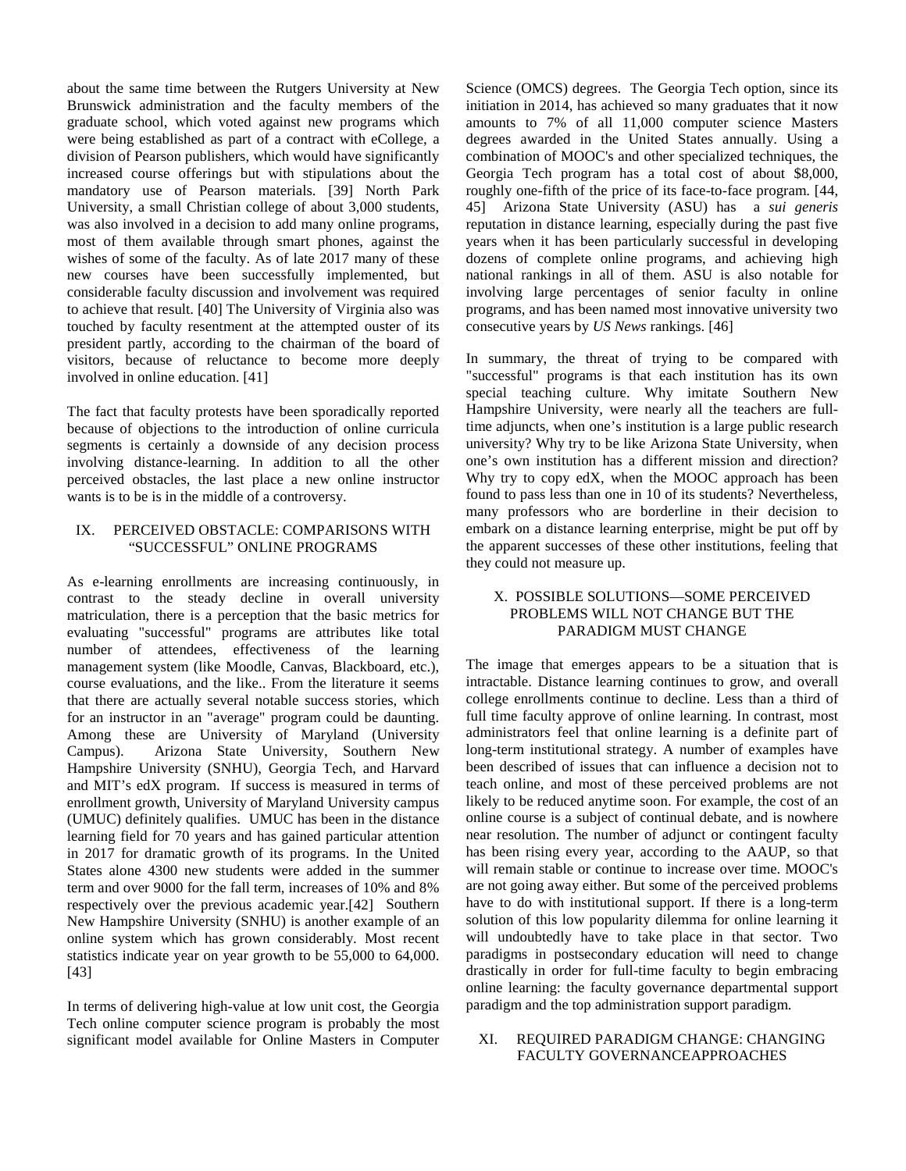about the same time between the Rutgers University at New Brunswick administration and the faculty members of the graduate school, which voted against new programs which were being established as part of a contract with eCollege, a division of Pearson publishers, which would have significantly increased course offerings but with stipulations about the mandatory use of Pearson materials. [39] North Park University, a small Christian college of about 3,000 students, was also involved in a decision to add many online programs, most of them available through smart phones, against the wishes of some of the faculty. As of late 2017 many of these new courses have been successfully implemented, but considerable faculty discussion and involvement was required to achieve that result. [40] The University of Virginia also was touched by faculty resentment at the attempted ouster of its president partly, according to the chairman of the board of visitors, because of reluctance to become more deeply involved in online education. [41]

The fact that faculty protests have been sporadically reported because of objections to the introduction of online curricula segments is certainly a downside of any decision process involving distance-learning. In addition to all the other perceived obstacles, the last place a new online instructor wants is to be is in the middle of a controversy.

## IX. PERCEIVED OBSTACLE: COMPARISONS WITH "SUCCESSFUL" ONLINE PROGRAMS

As e-learning enrollments are increasing continuously, in contrast to the steady decline in overall university matriculation, there is a perception that the basic metrics for evaluating "successful" programs are attributes like total number of attendees, effectiveness of the learning management system (like Moodle, Canvas, Blackboard, etc.), course evaluations, and the like.. From the literature it seems that there are actually several notable success stories, which for an instructor in an "average" program could be daunting. Among these are University of Maryland (University Campus). Arizona State University, Southern New Hampshire University (SNHU), Georgia Tech, and Harvard and MIT's edX program. If success is measured in terms of enrollment growth, University of Maryland University campus (UMUC) definitely qualifies. UMUC has been in the distance learning field for 70 years and has gained particular attention in 2017 for dramatic growth of its programs. In the United States alone 4300 new students were added in the summer term and over 9000 for the fall term, increases of 10% and 8% respectively over the previous academic year.[42] Southern New Hampshire University (SNHU) is another example of an online system which has grown considerably. Most recent statistics indicate year on year growth to be 55,000 to 64,000. [43]

In terms of delivering high-value at low unit cost, the Georgia Tech online computer science program is probably the most significant model available for Online Masters in Computer Science (OMCS) degrees. The Georgia Tech option, since its initiation in 2014, has achieved so many graduates that it now amounts to 7% of all 11,000 computer science Masters degrees awarded in the United States annually. Using a combination of MOOC's and other specialized techniques, the Georgia Tech program has a total cost of about \$8,000, roughly one-fifth of the price of its face-to-face program. [44, 45] Arizona State University (ASU) has a *sui generis* reputation in distance learning, especially during the past five years when it has been particularly successful in developing dozens of complete online programs, and achieving high national rankings in all of them. ASU is also notable for involving large percentages of senior faculty in online programs, and has been named most innovative university two consecutive years by *US News* rankings. [46]

In summary, the threat of trying to be compared with "successful" programs is that each institution has its own special teaching culture. Why imitate Southern New Hampshire University, were nearly all the teachers are fulltime adjuncts, when one's institution is a large public research university? Why try to be like Arizona State University, when one's own institution has a different mission and direction? Why try to copy edX, when the MOOC approach has been found to pass less than one in 10 of its students? Nevertheless, many professors who are borderline in their decision to embark on a distance learning enterprise, might be put off by the apparent successes of these other institutions, feeling that they could not measure up.

# X. POSSIBLE SOLUTIONS—SOME PERCEIVED PROBLEMS WILL NOT CHANGE BUT THE PARADIGM MUST CHANGE

The image that emerges appears to be a situation that is intractable. Distance learning continues to grow, and overall college enrollments continue to decline. Less than a third of full time faculty approve of online learning. In contrast, most administrators feel that online learning is a definite part of long-term institutional strategy. A number of examples have been described of issues that can influence a decision not to teach online, and most of these perceived problems are not likely to be reduced anytime soon. For example, the cost of an online course is a subject of continual debate, and is nowhere near resolution. The number of adjunct or contingent faculty has been rising every year, according to the AAUP, so that will remain stable or continue to increase over time. MOOC's are not going away either. But some of the perceived problems have to do with institutional support. If there is a long-term solution of this low popularity dilemma for online learning it will undoubtedly have to take place in that sector. Two paradigms in postsecondary education will need to change drastically in order for full-time faculty to begin embracing online learning: the faculty governance departmental support paradigm and the top administration support paradigm.

## XI. REQUIRED PARADIGM CHANGE: CHANGING FACULTY GOVERNANCEAPPROACHES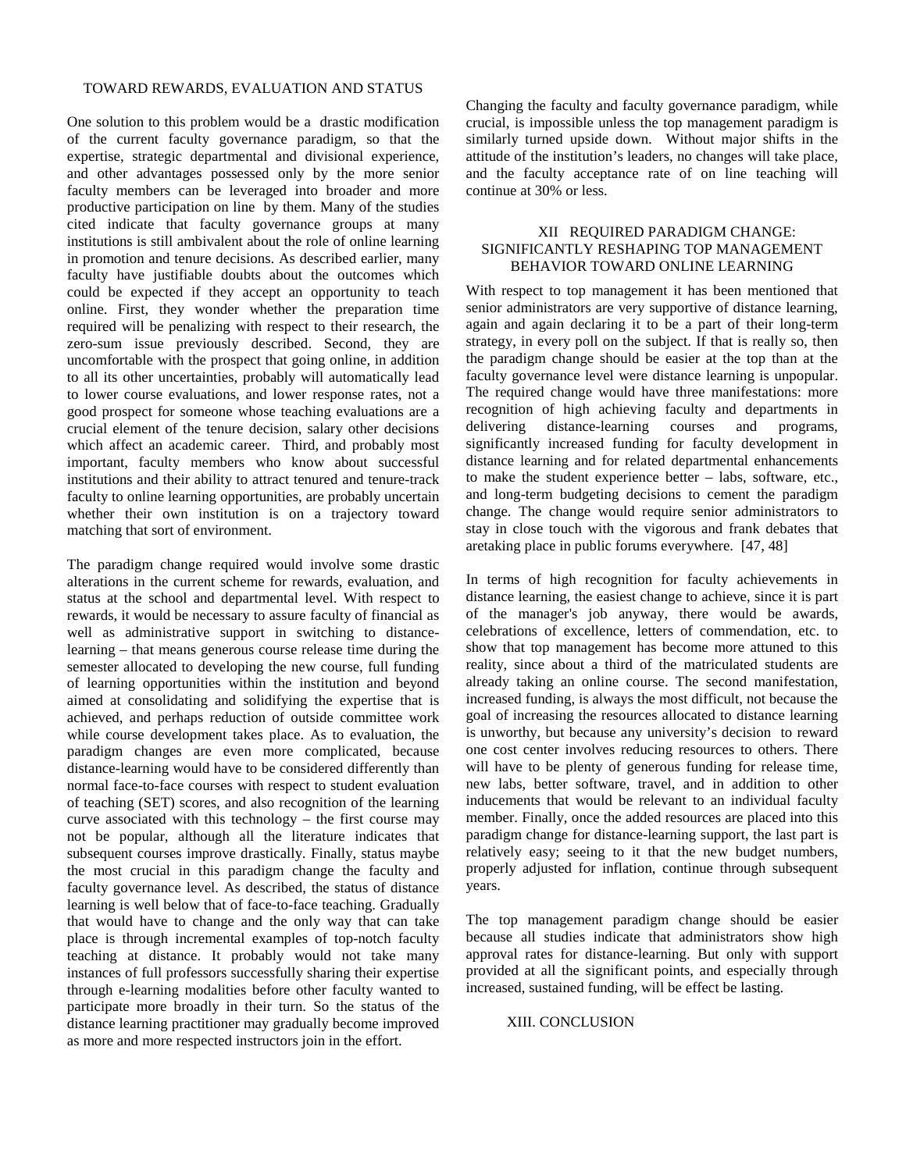#### TOWARD REWARDS, EVALUATION AND STATUS

One solution to this problem would be a drastic modification of the current faculty governance paradigm, so that the expertise, strategic departmental and divisional experience, and other advantages possessed only by the more senior faculty members can be leveraged into broader and more productive participation on line by them. Many of the studies cited indicate that faculty governance groups at many institutions is still ambivalent about the role of online learning in promotion and tenure decisions. As described earlier, many faculty have justifiable doubts about the outcomes which could be expected if they accept an opportunity to teach online. First, they wonder whether the preparation time required will be penalizing with respect to their research, the zero-sum issue previously described. Second, they are uncomfortable with the prospect that going online, in addition to all its other uncertainties, probably will automatically lead to lower course evaluations, and lower response rates, not a good prospect for someone whose teaching evaluations are a crucial element of the tenure decision, salary other decisions which affect an academic career. Third, and probably most important, faculty members who know about successful institutions and their ability to attract tenured and tenure-track faculty to online learning opportunities, are probably uncertain whether their own institution is on a trajectory toward matching that sort of environment.

The paradigm change required would involve some drastic alterations in the current scheme for rewards, evaluation, and status at the school and departmental level. With respect to rewards, it would be necessary to assure faculty of financial as well as administrative support in switching to distancelearning – that means generous course release time during the semester allocated to developing the new course, full funding of learning opportunities within the institution and beyond aimed at consolidating and solidifying the expertise that is achieved, and perhaps reduction of outside committee work while course development takes place. As to evaluation, the paradigm changes are even more complicated, because distance-learning would have to be considered differently than normal face-to-face courses with respect to student evaluation of teaching (SET) scores, and also recognition of the learning curve associated with this technology – the first course may not be popular, although all the literature indicates that subsequent courses improve drastically. Finally, status maybe the most crucial in this paradigm change the faculty and faculty governance level. As described, the status of distance learning is well below that of face-to-face teaching. Gradually that would have to change and the only way that can take place is through incremental examples of top-notch faculty teaching at distance. It probably would not take many instances of full professors successfully sharing their expertise through e-learning modalities before other faculty wanted to participate more broadly in their turn. So the status of the distance learning practitioner may gradually become improved as more and more respected instructors join in the effort.

Changing the faculty and faculty governance paradigm, while crucial, is impossible unless the top management paradigm is similarly turned upside down. Without major shifts in the attitude of the institution's leaders, no changes will take place, and the faculty acceptance rate of on line teaching will continue at 30% or less.

#### XII REQUIRED PARADIGM CHANGE: SIGNIFICANTLY RESHAPING TOP MANAGEMENT BEHAVIOR TOWARD ONLINE LEARNING

With respect to top management it has been mentioned that senior administrators are very supportive of distance learning, again and again declaring it to be a part of their long-term strategy, in every poll on the subject. If that is really so, then the paradigm change should be easier at the top than at the faculty governance level were distance learning is unpopular. The required change would have three manifestations: more recognition of high achieving faculty and departments in delivering distance-learning courses and programs, significantly increased funding for faculty development in distance learning and for related departmental enhancements to make the student experience better – labs, software, etc., and long-term budgeting decisions to cement the paradigm change. The change would require senior administrators to stay in close touch with the vigorous and frank debates that aretaking place in public forums everywhere. [47, 48]

In terms of high recognition for faculty achievements in distance learning, the easiest change to achieve, since it is part of the manager's job anyway, there would be awards, celebrations of excellence, letters of commendation, etc. to show that top management has become more attuned to this reality, since about a third of the matriculated students are already taking an online course. The second manifestation, increased funding, is always the most difficult, not because the goal of increasing the resources allocated to distance learning is unworthy, but because any university's decision to reward one cost center involves reducing resources to others. There will have to be plenty of generous funding for release time, new labs, better software, travel, and in addition to other inducements that would be relevant to an individual faculty member. Finally, once the added resources are placed into this paradigm change for distance-learning support, the last part is relatively easy; seeing to it that the new budget numbers, properly adjusted for inflation, continue through subsequent years.

The top management paradigm change should be easier because all studies indicate that administrators show high approval rates for distance-learning. But only with support provided at all the significant points, and especially through increased, sustained funding, will be effect be lasting.

#### XIII. CONCLUSION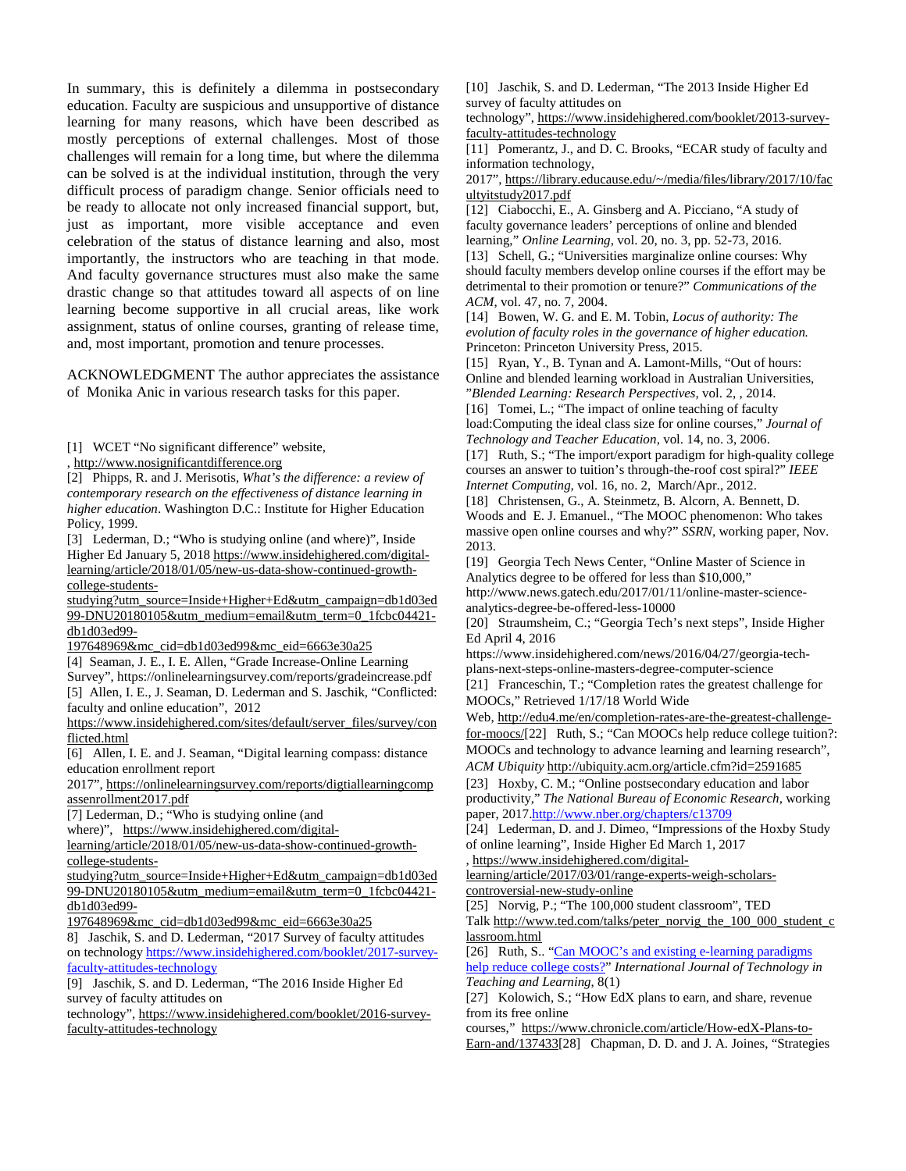In summary, this is definitely a dilemma in postsecondary education. Faculty are suspicious and unsupportive of distance learning for many reasons, which have been described as mostly perceptions of external challenges. Most of those challenges will remain for a long time, but where the dilemma can be solved is at the individual institution, through the very difficult process of paradigm change. Senior officials need to be ready to allocate not only increased financial support, but, just as important, more visible acceptance and even celebration of the status of distance learning and also, most importantly, the instructors who are teaching in that mode. And faculty governance structures must also make the same drastic change so that attitudes toward all aspects of on line learning become supportive in all crucial areas, like work assignment, status of online courses, granting of release time, and, most important, promotion and tenure processes.

ACKNOWLEDGMENT The author appreciates the assistance of Monika Anic in various research tasks for this paper.

[1] WCET "No significant difference" website,

, [http://www.nosignificantdifference.org](http://www.nosignificantdifference.org/)

[2] Phipps, R. and J. Merisotis, *What's the difference: a review of contemporary research on the effectiveness of distance learning in higher education*. Washington D.C.: Institute for Higher Education Policy, 1999.

[3] Lederman, D.; "Who is studying online (and where)", Inside Higher Ed January 5, 201[8 https://www.insidehighered.com/digital](https://www.insidehighered.com/digital-learning/article/2018/01/05/new-us-data-show-continued-growth-college-students-studying?utm_source=Inside+Higher+Ed&utm_campaign=db1d03ed99-DNU20180105&utm_medium=email&utm_term=0_1fcbc04421-db1d03ed99-197648969&mc_cid=db1d03ed99&mc_eid=6663e30a25)[learning/article/2018/01/05/new-us-data-show-continued-growth](https://www.insidehighered.com/digital-learning/article/2018/01/05/new-us-data-show-continued-growth-college-students-studying?utm_source=Inside+Higher+Ed&utm_campaign=db1d03ed99-DNU20180105&utm_medium=email&utm_term=0_1fcbc04421-db1d03ed99-197648969&mc_cid=db1d03ed99&mc_eid=6663e30a25)[college-students-](https://www.insidehighered.com/digital-learning/article/2018/01/05/new-us-data-show-continued-growth-college-students-studying?utm_source=Inside+Higher+Ed&utm_campaign=db1d03ed99-DNU20180105&utm_medium=email&utm_term=0_1fcbc04421-db1d03ed99-197648969&mc_cid=db1d03ed99&mc_eid=6663e30a25)

[studying?utm\\_source=Inside+Higher+Ed&utm\\_campaign=db1d03ed](https://www.insidehighered.com/digital-learning/article/2018/01/05/new-us-data-show-continued-growth-college-students-studying?utm_source=Inside+Higher+Ed&utm_campaign=db1d03ed99-DNU20180105&utm_medium=email&utm_term=0_1fcbc04421-db1d03ed99-197648969&mc_cid=db1d03ed99&mc_eid=6663e30a25) [99-DNU20180105&utm\\_medium=email&utm\\_term=0\\_1fcbc04421](https://www.insidehighered.com/digital-learning/article/2018/01/05/new-us-data-show-continued-growth-college-students-studying?utm_source=Inside+Higher+Ed&utm_campaign=db1d03ed99-DNU20180105&utm_medium=email&utm_term=0_1fcbc04421-db1d03ed99-197648969&mc_cid=db1d03ed99&mc_eid=6663e30a25) [db1d03ed99-](https://www.insidehighered.com/digital-learning/article/2018/01/05/new-us-data-show-continued-growth-college-students-studying?utm_source=Inside+Higher+Ed&utm_campaign=db1d03ed99-DNU20180105&utm_medium=email&utm_term=0_1fcbc04421-db1d03ed99-197648969&mc_cid=db1d03ed99&mc_eid=6663e30a25)

[197648969&mc\\_cid=db1d03ed99&mc\\_eid=6663e30a25](https://www.insidehighered.com/digital-learning/article/2018/01/05/new-us-data-show-continued-growth-college-students-studying?utm_source=Inside+Higher+Ed&utm_campaign=db1d03ed99-DNU20180105&utm_medium=email&utm_term=0_1fcbc04421-db1d03ed99-197648969&mc_cid=db1d03ed99&mc_eid=6663e30a25)

[4] Seaman, J. E., I. E. Allen, "Grade Increase-Online Learning Survey", https://onlinelearningsurvey.com/reports/gradeincrease.pdf [5] Allen, I. E., J. Seaman, D. Lederman and S. Jaschik, "Conflicted: faculty and online education", 2012

[https://www.insidehighered.com/sites/default/server\\_files/survey/con](https://www.insidehighered.com/sites/default/server_files/survey/conflicted.html) [flicted.html](https://www.insidehighered.com/sites/default/server_files/survey/conflicted.html)

[6] Allen, I. E. and J. Seaman, "Digital learning compass: distance education enrollment report

2017", [https://onlinelearningsurvey.com/reports/digtiallearningcomp](https://onlinelearningsurvey.com/reports/digtiallearningcompassenrollment2017.pdf) [assenrollment2017.pdf](https://onlinelearningsurvey.com/reports/digtiallearningcompassenrollment2017.pdf)

[7] Lederman, D.; "Who is studying online (and

where)", [https://www.insidehighered.com/digital-](https://www.insidehighered.com/digital-learning/article/2018/01/05/new-us-data-show-continued-growth-college-students-studying?utm_source=Inside+Higher+Ed&utm_campaign=db1d03ed99-DNU20180105&utm_medium=email&utm_term=0_1fcbc04421-db1d03ed99-197648969&mc_cid=db1d03ed99&mc_eid=6663e30a25)

[learning/article/2018/01/05/new-us-data-show-continued-growth](https://www.insidehighered.com/digital-learning/article/2018/01/05/new-us-data-show-continued-growth-college-students-studying?utm_source=Inside+Higher+Ed&utm_campaign=db1d03ed99-DNU20180105&utm_medium=email&utm_term=0_1fcbc04421-db1d03ed99-197648969&mc_cid=db1d03ed99&mc_eid=6663e30a25)[college-students-](https://www.insidehighered.com/digital-learning/article/2018/01/05/new-us-data-show-continued-growth-college-students-studying?utm_source=Inside+Higher+Ed&utm_campaign=db1d03ed99-DNU20180105&utm_medium=email&utm_term=0_1fcbc04421-db1d03ed99-197648969&mc_cid=db1d03ed99&mc_eid=6663e30a25)

[studying?utm\\_source=Inside+Higher+Ed&utm\\_campaign=db1d03ed](https://www.insidehighered.com/digital-learning/article/2018/01/05/new-us-data-show-continued-growth-college-students-studying?utm_source=Inside+Higher+Ed&utm_campaign=db1d03ed99-DNU20180105&utm_medium=email&utm_term=0_1fcbc04421-db1d03ed99-197648969&mc_cid=db1d03ed99&mc_eid=6663e30a25) [99-DNU20180105&utm\\_medium=email&utm\\_term=0\\_1fcbc04421](https://www.insidehighered.com/digital-learning/article/2018/01/05/new-us-data-show-continued-growth-college-students-studying?utm_source=Inside+Higher+Ed&utm_campaign=db1d03ed99-DNU20180105&utm_medium=email&utm_term=0_1fcbc04421-db1d03ed99-197648969&mc_cid=db1d03ed99&mc_eid=6663e30a25) [db1d03ed99-](https://www.insidehighered.com/digital-learning/article/2018/01/05/new-us-data-show-continued-growth-college-students-studying?utm_source=Inside+Higher+Ed&utm_campaign=db1d03ed99-DNU20180105&utm_medium=email&utm_term=0_1fcbc04421-db1d03ed99-197648969&mc_cid=db1d03ed99&mc_eid=6663e30a25)

[197648969&mc\\_cid=db1d03ed99&mc\\_eid=6663e30a25](https://www.insidehighered.com/digital-learning/article/2018/01/05/new-us-data-show-continued-growth-college-students-studying?utm_source=Inside+Higher+Ed&utm_campaign=db1d03ed99-DNU20180105&utm_medium=email&utm_term=0_1fcbc04421-db1d03ed99-197648969&mc_cid=db1d03ed99&mc_eid=6663e30a25)

8] Jaschik, S. and D. Lederman, "2017 Survey of faculty attitudes on technology [https://www.insidehighered.com/booklet/2017-survey](https://www.insidehighered.com/booklet/2017-survey-faculty-attitudes-technology)[faculty-attitudes-technology](https://www.insidehighered.com/booklet/2017-survey-faculty-attitudes-technology)

[9] Jaschik, S. and D. Lederman, "The 2016 Inside Higher Ed survey of faculty attitudes on

technology", [https://www.insidehighered.com/booklet/2016-survey](https://www.insidehighered.com/booklet/2016-survey-faculty-attitudes-technology)[faculty-attitudes-technology](https://www.insidehighered.com/booklet/2016-survey-faculty-attitudes-technology)

[10] Jaschik, S. and D. Lederman, "The 2013 Inside Higher Ed survey of faculty attitudes on

technology"[, https://www.insidehighered.com/booklet/2013-survey](https://www.insidehighered.com/booklet/2013-survey-faculty-attitudes-technology)[faculty-attitudes-technology](https://www.insidehighered.com/booklet/2013-survey-faculty-attitudes-technology)

[11] Pomerantz, J., and D. C. Brooks, "ECAR study of faculty and information technology,

2017"[, https://library.educause.edu/~/media/files/library/2017/10/fac](https://library.educause.edu/~/media/files/library/2017/10/facultyitstudy2017.pdf) [ultyitstudy2017.pdf](https://library.educause.edu/~/media/files/library/2017/10/facultyitstudy2017.pdf)

[12] Ciabocchi, E., A. Ginsberg and A. Picciano, "A study of faculty governance leaders' perceptions of online and blended learning," *Online Learning,* vol. 20, no. 3, pp. 52-73, 2016. [13] Schell, G.; "Universities marginalize online courses: Why should faculty members develop online courses if the effort may be detrimental to their promotion or tenure?" *Communications of the ACM*, vol. 47, no. 7, 2004.

[14] Bowen, W. G. and E. M. Tobin, *Locus of authority: The evolution of faculty roles in the governance of higher education.*  Princeton: Princeton University Press, 2015.

[15] Ryan, Y., B. Tynan and A. Lamont-Mills, "Out of hours: Online and blended learning workload in Australian Universities, "*Blended Learning: Research Perspectives,* vol. 2, , 2014. [16] Tomei, L.; "The impact of online teaching of faculty load:Computing the ideal class size for online courses," *Journal of Technology and Teacher Education,* vol. 14, no. 3, 2006.

[17] Ruth, S.; "The import/export paradigm for high-quality college courses an answer to tuition's through-the-roof cost spiral?" *IEEE Internet Computing,* vol. 16, no. 2, March/Apr., 2012.

[18] Christensen, G., A. Steinmetz, B. Alcorn, A. Bennett, D. Woods and E. J. Emanuel., "The MOOC phenomenon: Who takes massive open online courses and why?" *SSRN,* working paper, Nov. 2013.

[19] Georgia Tech News Center, "Online Master of Science in Analytics degree to be offered for less than \$10,000," http://www.news.gatech.edu/2017/01/11/online-master-science-

analytics-degree-be-offered-less-10000 [20] Straumsheim, C.; "Georgia Tech's next steps", Inside Higher Ed April 4, 2016

https://www.insidehighered.com/news/2016/04/27/georgia-techplans-next-steps-online-masters-degree-computer-science [21] Franceschin, T.; "Completion rates the greatest challenge for MOOCs," Retrieved 1/17/18 World Wide

Web[, http://edu4.me/en/completion-rates-are-the-greatest-challenge](http://edu4.me/en/completion-rates-are-the-greatest-challenge-for-moocs/)[for-moocs/\[](http://edu4.me/en/completion-rates-are-the-greatest-challenge-for-moocs/)22] Ruth, S.; "Can MOOCs help reduce college tuition?: MOOCs and technology to advance learning and learning research",

*ACM Ubiquity* <http://ubiquity.acm.org/article.cfm?id=2591685> [23] Hoxby, C. M.; "Online postsecondary education and labor productivity," *The National Bureau of Economic Research,* working

paper, 201[7.http://www.nber.org/chapters/c13709](https://outlook.office.com/owa/redir.aspx?REF=BqHh9wp1OqQ1DOGe1r3h-BSQLY6jpyhIJI-iSaUyo8yuhzIYqFfVCAFodHRwOi8vd3d3Lm5iZXIub3JnL2NoYXB0ZXJzL2MxMzcwOQ..)

[24] Lederman, D. and J. Dimeo, "Impressions of the Hoxby Study of online learning", Inside Higher Ed March 1, 2017

[, https://www.insidehighered.com/digital-](https://outlook.office.com/owa/redir.aspx?REF=ii80CZ04P3MsdrBNfeQb_2eG-dxPfJ-qW9TmI52g19P_9S6cqifVCAFodHRwczovL3d3dy5pbnNpZGVoaWdoZXJlZC5jb20vZGlnaXRhbC1sZWFybmluZy9hcnRpY2xlLzIwMTcvMDMvMDEvcmFuZ2UtZXhwZXJ0cy13ZWlnaC1zY2hvbGFycy1jb250cm92ZXJzaWFsLW5ldy1zdHVkeS1vbmxpbmU.)

[learning/article/2017/03/01/range-experts-weigh-scholars](https://outlook.office.com/owa/redir.aspx?REF=ii80CZ04P3MsdrBNfeQb_2eG-dxPfJ-qW9TmI52g19P_9S6cqifVCAFodHRwczovL3d3dy5pbnNpZGVoaWdoZXJlZC5jb20vZGlnaXRhbC1sZWFybmluZy9hcnRpY2xlLzIwMTcvMDMvMDEvcmFuZ2UtZXhwZXJ0cy13ZWlnaC1zY2hvbGFycy1jb250cm92ZXJzaWFsLW5ldy1zdHVkeS1vbmxpbmU.)[controversial-new-study-online](https://outlook.office.com/owa/redir.aspx?REF=ii80CZ04P3MsdrBNfeQb_2eG-dxPfJ-qW9TmI52g19P_9S6cqifVCAFodHRwczovL3d3dy5pbnNpZGVoaWdoZXJlZC5jb20vZGlnaXRhbC1sZWFybmluZy9hcnRpY2xlLzIwMTcvMDMvMDEvcmFuZ2UtZXhwZXJ0cy13ZWlnaC1zY2hvbGFycy1jb250cm92ZXJzaWFsLW5ldy1zdHVkeS1vbmxpbmU.)

[25] Norvig, P.; "The 100,000 student classroom", TED Tal[k http://www.ted.com/talks/peter\\_norvig\\_the\\_100\\_000\\_student\\_c](http://www.ted.com/talks/peter_norvig_the_100_000_student_classroom.html)

[lassroom.html](http://www.ted.com/talks/peter_norvig_the_100_000_student_classroom.html)

[26] Ruth, S.. ["Can MOOC's and existing e-learning paradigms](https://papers.ssrn.com/sol3/papers.cfm?abstract_id=2086689)  [help reduce college costs?"](https://papers.ssrn.com/sol3/papers.cfm?abstract_id=2086689) *International Journal of Technology in Teaching and Learning*, 8(1)

[27] Kolowich, S.; "How EdX plans to earn, and share, revenue from its free online

courses," [https://www.chronicle.com/article/How-edX-Plans-to-](https://www.chronicle.com/article/How-edX-Plans-to-Earn-and/137433)[Earn-and/137433\[](https://www.chronicle.com/article/How-edX-Plans-to-Earn-and/137433)28] Chapman, D. D. and J. A. Joines, "Strategies